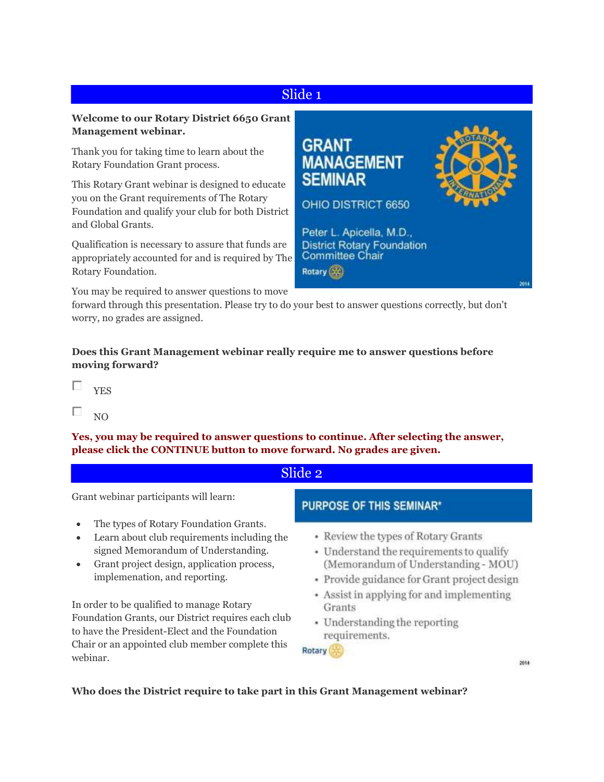

forward through this presentation. Please try to do your best to answer questions correctly, but don't worry, no grades are assigned.

#### **Does this Grant Management webinar really require me to answer questions before moving forward?**

П YES

П NO

#### **Yes, you may be required to answer questions to continue. After selecting the answer, please click the CONTINUE button to move forward. No grades are given.**

| Slide 2                                                                                                                                                                                                                                    |                                                                                                                                                                       |  |
|--------------------------------------------------------------------------------------------------------------------------------------------------------------------------------------------------------------------------------------------|-----------------------------------------------------------------------------------------------------------------------------------------------------------------------|--|
| Grant webinar participants will learn:                                                                                                                                                                                                     | <b>PURPOSE OF THIS SEMINAR*</b>                                                                                                                                       |  |
| The types of Rotary Foundation Grants.<br>٠<br>Learn about club requirements including the<br>$\bullet$<br>signed Memorandum of Understanding.<br>Grant project design, application process,<br>$\bullet$<br>implemenation, and reporting. | • Review the types of Rotary Grants<br>• Understand the requirements to qualify<br>(Memorandum of Understanding - MOU)<br>• Provide guidance for Grant project design |  |
| In order to be qualified to manage Rotary<br>Foundation Grants, our District requires each club<br>to have the President-Elect and the Foundation<br>Chair or an appointed club member complete this<br>webinar.                           | • Assist in applying for and implementing<br>Grants<br>• Understanding the reporting<br>requirements.<br>Rotary                                                       |  |

**Who does the District require to take part in this Grant Management webinar?**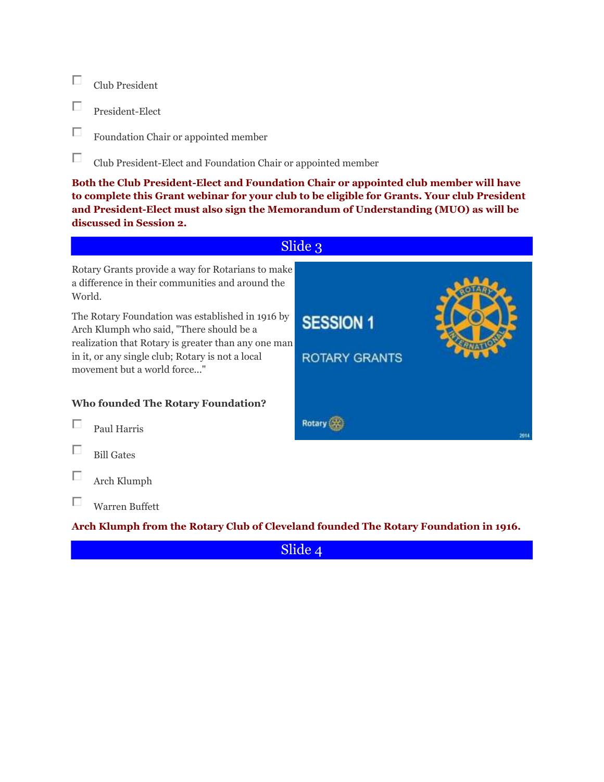- $\Box$ Club President
- $\Box$ President-Elect
- $\Box$ Foundation Chair or appointed member
- $\Box$ Club President-Elect and Foundation Chair or appointed member

**Both the Club President-Elect and Foundation Chair or appointed club member will have to complete this Grant webinar for your club to be eligible for Grants. Your club President and President-Elect must also sign the Memorandum of Understanding (MUO) as will be discussed in Session 2.** 

| Slide 3                                                                                                                                             |                                   |  |
|-----------------------------------------------------------------------------------------------------------------------------------------------------|-----------------------------------|--|
| Rotary Grants provide a way for Rotarians to make<br>a difference in their communities and around the<br>World.                                     |                                   |  |
| The Rotary Foundation was established in 1916 by<br>Arch Klumph who said, "There should be a<br>realization that Rotary is greater than any one man | <b>SESSION 1</b>                  |  |
| in it, or any single club; Rotary is not a local<br>movement but a world force"                                                                     | <b>ROTARY GRANTS</b>              |  |
| <b>Who founded The Rotary Foundation?</b>                                                                                                           |                                   |  |
| Paul Harris                                                                                                                                         | <b>Rotary</b><br>20 <sub>t4</sub> |  |
| <b>Bill Gates</b>                                                                                                                                   |                                   |  |
| Arch Klumph                                                                                                                                         |                                   |  |
| <b>Warren Buffett</b>                                                                                                                               |                                   |  |
| Arch Klumph from the Rotary Club of Cleveland founded The Rotary Foundation in 1916.                                                                |                                   |  |

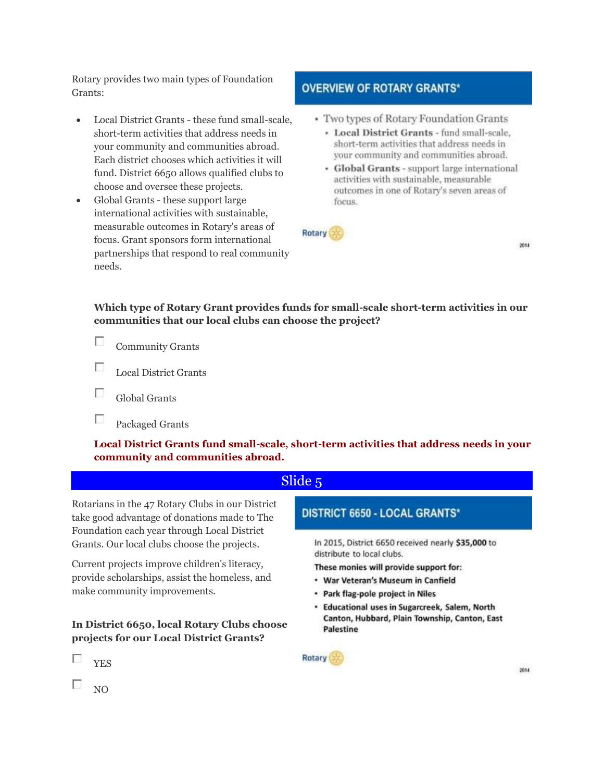Rotary provides two main types of Foundation Grants:

- Local District Grants these fund small-scale, short-term activities that address needs in your community and communities abroad. Each district chooses which activities it will fund. District 6650 allows qualified clubs to choose and oversee these projects.
- Global Grants these support large international activities with sustainable, measurable outcomes in Rotary's areas of focus. Grant sponsors form international partnerships that respond to real community needs.

#### **OVERVIEW OF ROTARY GRANTS\***

- Two types of Rotary Foundation Grants
	- · Local District Grants fund small-scale, short-term activities that address needs in your community and communities abroad.
	- Global Grants support large international activities with sustainable, measurable outcomes in one of Rotary's seven areas of focus.

Rotary

2014

#### **Which type of Rotary Grant provides funds for small-scale short-term activities in our communities that our local clubs can choose the project?**



П Local District Grants



П

Packaged Grants

**Local District Grants fund small-scale, short-term activities that address needs in your community and communities abroad.** 

## Slide 5

Rotarians in the 47 Rotary Clubs in our District take good advantage of donations made to The Foundation each year through Local District Grants. Our local clubs choose the projects.

Current projects improve children's literacy, provide scholarships, assist the homeless, and make community improvements.

#### **In District 6650, local Rotary Clubs choose projects for our Local District Grants?**

п YES

## DISTRICT 6650 - LOCAL GRANTS\*

In 2015, District 6650 received nearly \$35,000 to distribute to local clubs.

These monies will provide support for:

- War Veteran's Museum in Canfield
- · Park flag-pole project in Niles
- · Educational uses in Sugarcreek, Salem, North Canton, Hubbard, Plain Township, Canton, East Palestine

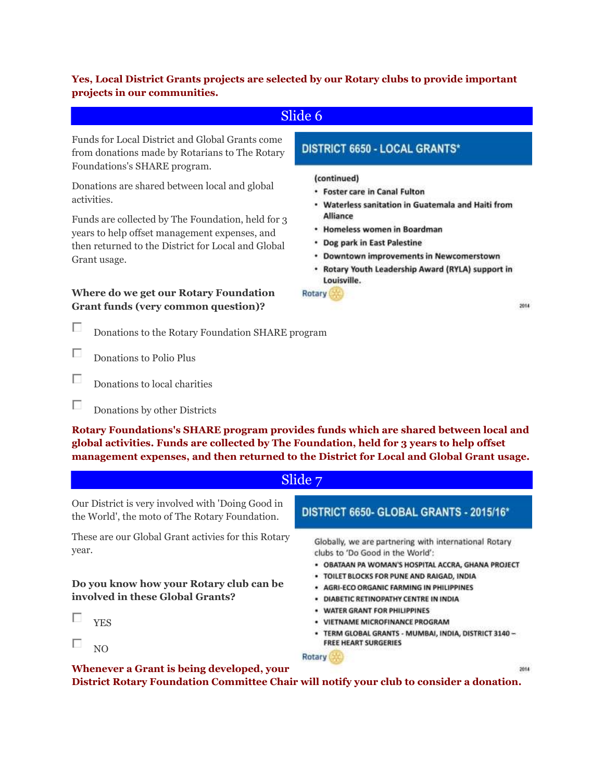#### **Yes, Local District Grants projects are selected by our Rotary clubs to provide important projects in our communities.**

Slide 6

Funds for Local District and Global Grants come from donations made by Rotarians to The Rotary Foundations's SHARE program.

Donations are shared between local and global activities.

Funds are collected by The Foundation, held for 3 years to help offset management expenses, and then returned to the District for Local and Global Grant usage.

#### **Where do we get our Rotary Foundation Grant funds (very common question)?**

- П Donations to the Rotary Foundation SHARE program
- П Donations to Polio Plus
- П Donations to local charities
- П Donations by other Districts

#### **Rotary Foundations's SHARE program provides funds which are shared between local and global activities. Funds are collected by The Foundation, held for 3 years to help offset management expenses, and then returned to the District for Local and Global Grant usage.**

| Slide 7                                                                                                                                                   |                                                                                                                                                                                                                                                                                                                                                                                                                   |  |
|-----------------------------------------------------------------------------------------------------------------------------------------------------------|-------------------------------------------------------------------------------------------------------------------------------------------------------------------------------------------------------------------------------------------------------------------------------------------------------------------------------------------------------------------------------------------------------------------|--|
| Our District is very involved with 'Doing Good in<br>the World', the moto of The Rotary Foundation.                                                       | DISTRICT 6650- GLOBAL GRANTS - 2015/16*                                                                                                                                                                                                                                                                                                                                                                           |  |
| These are our Global Grant activies for this Rotary<br>year.<br>Do you know how your Rotary club can be<br>involved in these Global Grants?<br><b>YES</b> | Globally, we are partnering with international Rotary<br>clubs to 'Do Good in the World':<br>· OBATAAN PA WOMAN'S HOSPITAL ACCRA, GHANA PROJECT<br>· TOILET BLOCKS FOR PUNE AND RAIGAD, INDIA<br>. AGRI-ECO ORGANIC FARMING IN PHILIPPINES<br>· DIABETIC RETINOPATHY CENTRE IN INDIA<br>. WATER GRANT FOR PHILIPPINES<br>· VIETNAME MICROFINANCE PROGRAM<br>· TERM GLOBAL GRANTS - MUMBAI, INDIA, DISTRICT 3140 - |  |
| N <sub>O</sub><br>Whenever a Grant is being developed, your                                                                                               | <b>FREE HEART SURGERIES</b><br>Rotary<br>2014                                                                                                                                                                                                                                                                                                                                                                     |  |
|                                                                                                                                                           |                                                                                                                                                                                                                                                                                                                                                                                                                   |  |

**District Rotary Foundation Committee Chair will notify your club to consider a donation.** 

## DISTRICT 6650 - LOCAL GRANTS\*

(continued)

- Foster care in Canal Fulton
- Waterless sanitation in Guatemala and Haiti from **Alliance**
- Homeless women in Boardman
- Dog park in East Palestine
- Downtown improvements in Newcomerstown
- Rotary Youth Leadership Award (RYLA) support in Louisville.

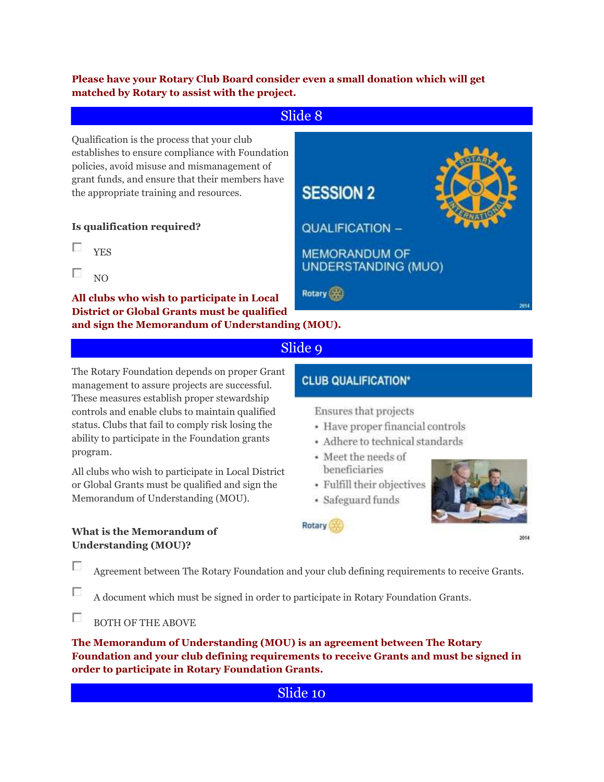#### **Please have your Rotary Club Board consider even a small donation which will get matched by Rotary to assist with the project.**

Slide 8

Qualification is the process that your club establishes to ensure compliance with Foundation policies, avoid misuse and mismanagement of grant funds, and ensure that their members have the appropriate training and resources.

#### **Is qualification required?**

- п YES
- $\Box$ NO

**All clubs who wish to participate in Local District or Global Grants must be qualified and sign the Memorandum of Understanding (MOU).** 



# Slide 9

**CLUB QUALIFICATION\*** 

Ensures that projects

• Meet the needs of beneficiaries

· Safeguard funds

· Fulfill their objectives

• Have proper financial controls · Adhere to technical standards

2014

The Rotary Foundation depends on proper Grant management to assure projects are successful. These measures establish proper stewardship controls and enable clubs to maintain qualified status. Clubs that fail to comply risk losing the ability to participate in the Foundation grants program.

All clubs who wish to participate in Local District or Global Grants must be qualified and sign the Memorandum of Understanding (MOU).

#### **What is the Memorandum of Understanding (MOU)?**

П Agreement between The Rotary Foundation and your club defining requirements to receive Grants.

Rotary

П A document which must be signed in order to participate in Rotary Foundation Grants.

#### П BOTH OF THE ABOVE

**The Memorandum of Understanding (MOU) is an agreement between The Rotary Foundation and your club defining requirements to receive Grants and must be signed in order to participate in Rotary Foundation Grants.** 

## Slide 10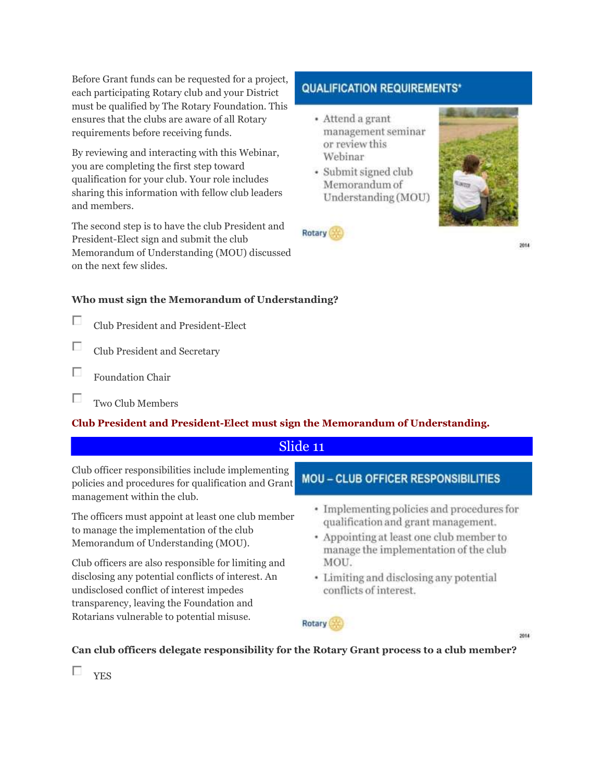Before Grant funds can be requested for a project, each participating Rotary club and your District must be qualified by The Rotary Foundation. This ensures that the clubs are aware of all Rotary requirements before receiving funds.

By reviewing and interacting with this Webinar, you are completing the first step toward qualification for your club. Your role includes sharing this information with fellow club leaders and members.

The second step is to have the club President and President-Elect sign and submit the club Memorandum of Understanding (MOU) discussed on the next few slides.

## **QUALIFICATION REQUIREMENTS\***

- Attend a grant management seminar or review this Webinar
- · Submit signed club Memorandum of Understanding (MOU)



Rotary

2014

#### **Who must sign the Memorandum of Understanding?**

- П Club President and President-Elect
- Е Club President and Secretary
- п Foundation Chair
- п Two Club Members

#### **Club President and President-Elect must sign the Memorandum of Understanding.**

## Slide 11

Club officer responsibilities include implementing policies and procedures for qualification and Grant management within the club.

The officers must appoint at least one club member to manage the implementation of the club Memorandum of Understanding (MOU).

Club officers are also responsible for limiting and disclosing any potential conflicts of interest. An undisclosed conflict of interest impedes transparency, leaving the Foundation and Rotarians vulnerable to potential misuse.

#### **MOU - CLUB OFFICER RESPONSIBILITIES**

- Implementing policies and procedures for qualification and grant management.
- Appointing at least one club member to manage the implementation of the club MOU.
- Limiting and disclosing any potential conflicts of interest.



2014

**Can club officers delegate responsibility for the Rotary Grant process to a club member?** 

П YES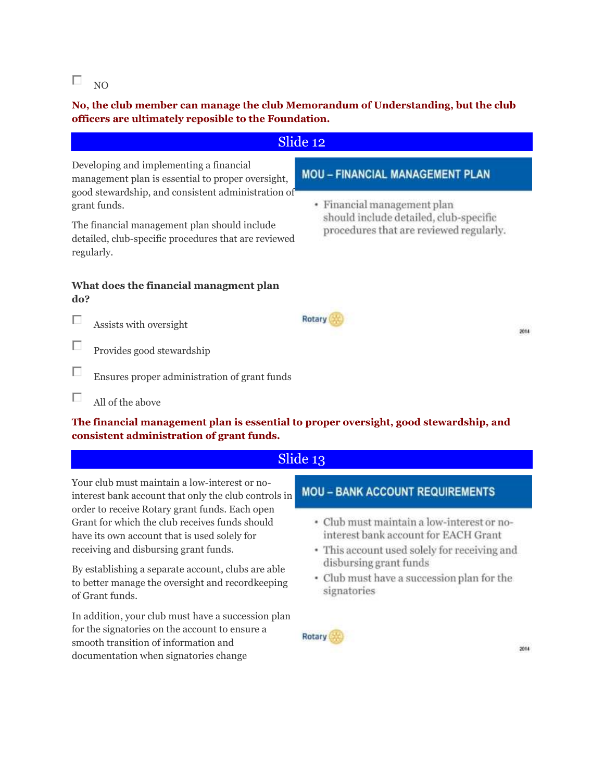#### $\Box$ NO

#### **No, the club member can manage the club Memorandum of Understanding, but the club officers are ultimately reposible to the Foundation.**

## Slide 12

Developing and implementing a financial management plan is essential to proper oversight, good stewardship, and consistent administration of grant funds.

The financial management plan should include detailed, club-specific procedures that are reviewed regularly.

## **What does the financial managment plan do?**

- П Assists with oversight
- п Provides good stewardship
- П Ensures proper administration of grant funds
- П All of the above

## **The financial management plan is essential to proper oversight, good stewardship, and consistent administration of grant funds.**

Slide 13

Your club must maintain a low-interest or nointerest bank account that only the club controls in order to receive Rotary grant funds. Each open Grant for which the club receives funds should have its own account that is used solely for receiving and disbursing grant funds.

By establishing a separate account, clubs are able to better manage the oversight and recordkeeping of Grant funds.

In addition, your club must have a succession plan for the signatories on the account to ensure a smooth transition of information and documentation when signatories change

## **MOU - FINANCIAL MANAGEMENT PLAN**

• Financial management plan should include detailed, club-specific procedures that are reviewed regularly.

Rotary

2014

## **MOU - BANK ACCOUNT REQUIREMENTS**

- · Club must maintain a low-interest or nointerest bank account for EACH Grant
- This account used solely for receiving and disbursing grant funds
- Club must have a succession plan for the signatories

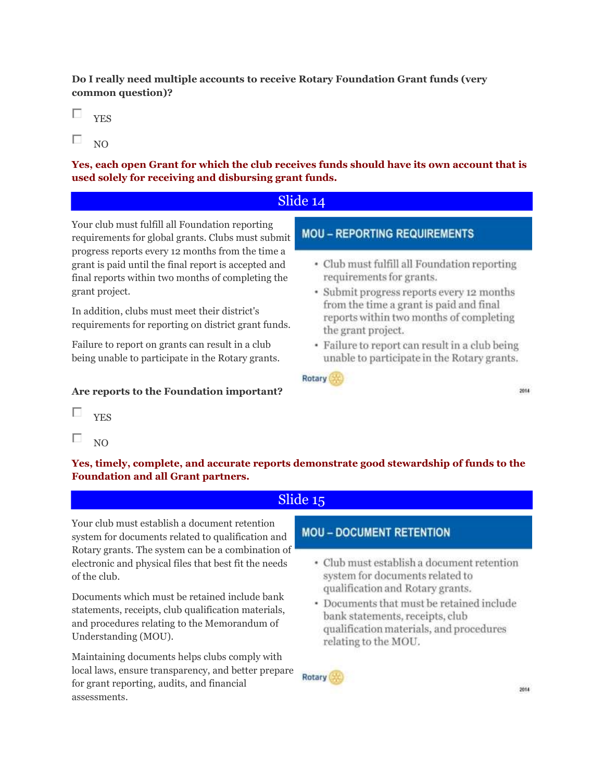**Do I really need multiple accounts to receive Rotary Foundation Grant funds (very common question)?** 

П YES

П NO

**Yes, each open Grant for which the club receives funds should have its own account that is used solely for receiving and disbursing grant funds.** 

## Slide 14

Your club must fulfill all Foundation reporting requirements for global grants. Clubs must submit progress reports every 12 months from the time a grant is paid until the final report is accepted and final reports within two months of completing the grant project.

In addition, clubs must meet their district's requirements for reporting on district grant funds.

Failure to report on grants can result in a club being unable to participate in the Rotary grants.

#### **Are reports to the Foundation important?**

## **MOU - REPORTING REQUIREMENTS**

- Club must fulfill all Foundation reporting requirements for grants.
- Submit progress reports every 12 months from the time a grant is paid and final reports within two months of completing the grant project.
- Failure to report can result in a club being unable to participate in the Rotary grants.



2014

п YES

п  $N<sub>O</sub>$ 

#### **Yes, timely, complete, and accurate reports demonstrate good stewardship of funds to the Foundation and all Grant partners.**

Slide 15

Your club must establish a document retention system for documents related to qualification and Rotary grants. The system can be a combination of electronic and physical files that best fit the needs of the club.

Documents which must be retained include bank statements, receipts, club qualification materials, and procedures relating to the Memorandum of Understanding (MOU).

Maintaining documents helps clubs comply with local laws, ensure transparency, and better prepare for grant reporting, audits, and financial assessments.

# **MOU - DOCUMENT RETENTION**

- Club must establish a document retention system for documents related to qualification and Rotary grants.
- Documents that must be retained include bank statements, receipts, club qualification materials, and procedures relating to the MOU.

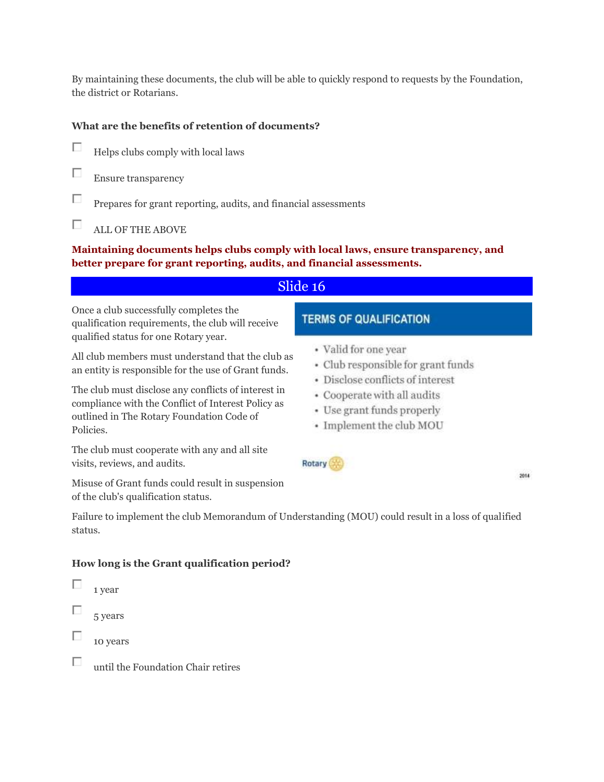By maintaining these documents, the club will be able to quickly respond to requests by the Foundation, the district or Rotarians.

#### **What are the benefits of retention of documents?**

- П Helps clubs comply with local laws
- П Ensure transparency
- П Prepares for grant reporting, audits, and financial assessments
- П ALL OF THE ABOVE

#### **Maintaining documents helps clubs comply with local laws, ensure transparency, and better prepare for grant reporting, audits, and financial assessments.**

## Slide 16

Once a club successfully completes the qualification requirements, the club will receive qualified status for one Rotary year.

All club members must understand that the club as an entity is responsible for the use of Grant funds.

The club must disclose any conflicts of interest in compliance with the Conflict of Interest Policy as outlined in The Rotary Foundation Code of Policies.

The club must cooperate with any and all site visits, reviews, and audits.

Misuse of Grant funds could result in suspension of the club's qualification status.

Failure to implement the club Memorandum of Understanding (MOU) could result in a loss of qualified status.

#### **How long is the Grant qualification period?**

- П 1 year
- П 5 years
- П 10 years

П until the Foundation Chair retires

## **TERMS OF QUALIFICATION**

- Valid for one year
- Club responsible for grant funds
- Disclose conflicts of interest
- Cooperate with all audits
- Use grant funds properly
- Implement the club MOU

Rotary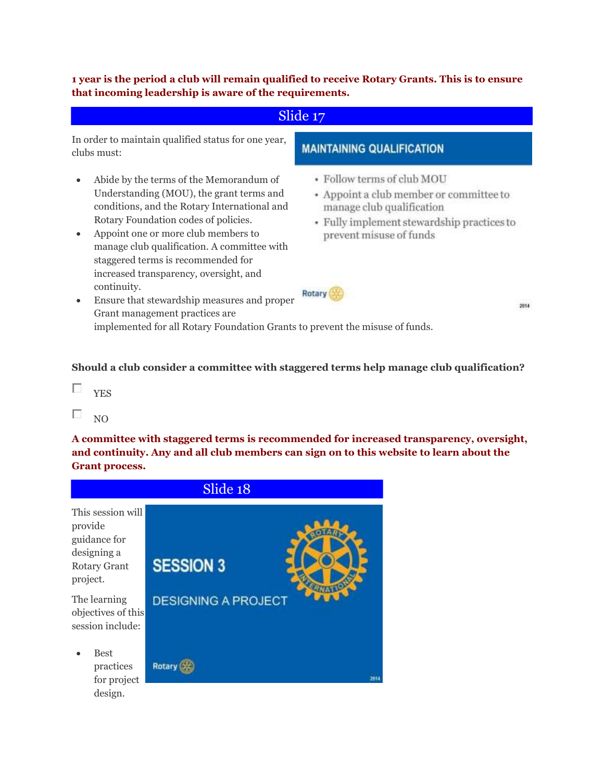#### **1 year is the period a club will remain qualified to receive Rotary Grants. This is to ensure that incoming leadership is aware of the requirements.**

## Slide 17

In order to maintain qualified status for one year, clubs must:

- Abide by the terms of the Memorandum of Understanding (MOU), the grant terms and conditions, and the Rotary International and Rotary Foundation codes of policies.
- Appoint one or more club members to manage club qualification. A committee with staggered terms is recommended for increased transparency, oversight, and continuity.

## **MAINTAINING QUALIFICATION**

- Follow terms of club MOU
- Appoint a club member or committee to manage club qualification
- Fully implement stewardship practices to prevent misuse of funds

Rotary

2014

 Ensure that stewardship measures and proper Grant management practices are implemented for all Rotary Foundation Grants to prevent the misuse of funds.

#### **Should a club consider a committee with staggered terms help manage club qualification?**

П YES

П NO

**A committee with staggered terms is recommended for increased transparency, oversight, and continuity. Any and all club members can sign on to this website to learn about the Grant process.** 

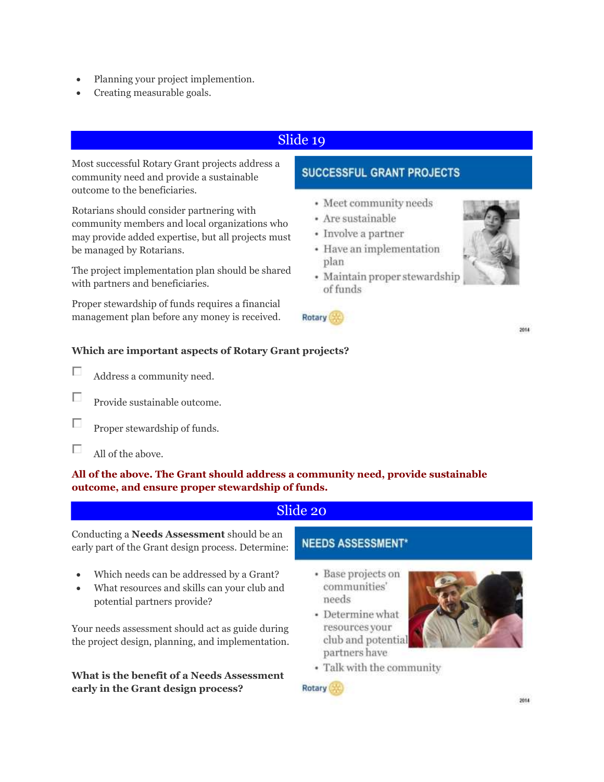- Planning your project implemention.
- Creating measurable goals.

## Slide 19

Most successful Rotary Grant projects address a community need and provide a sustainable outcome to the beneficiaries.

Rotarians should consider partnering with community members and local organizations who may provide added expertise, but all projects must be managed by Rotarians.

The project implementation plan should be shared with partners and beneficiaries.

Proper stewardship of funds requires a financial management plan before any money is received.

## **SUCCESSFUL GRANT PROJECTS**

- Meet community needs
- Are sustainable
- · Involve a partner
- Have an implementation plan
- Maintain proper stewardship of funds



2014

#### **Which are important aspects of Rotary Grant projects?**

- П Address a community need.
- п Provide sustainable outcome.
- п Proper stewardship of funds.
- П All of the above.

#### **All of the above. The Grant should address a community need, provide sustainable outcome, and ensure proper stewardship of funds.**

## Slide 20

Conducting a **Needs Assessment** should be an early part of the Grant design process. Determine:

- Which needs can be addressed by a Grant?
- What resources and skills can your club and potential partners provide?

Your needs assessment should act as guide during the project design, planning, and implementation.

**What is the benefit of a Needs Assessment early in the Grant design process?** 

#### **NEEDS ASSESSMENT\***

- Base projects on communities' needs
- Determine what resources your club and potential partners have
- 
- · Talk with the community

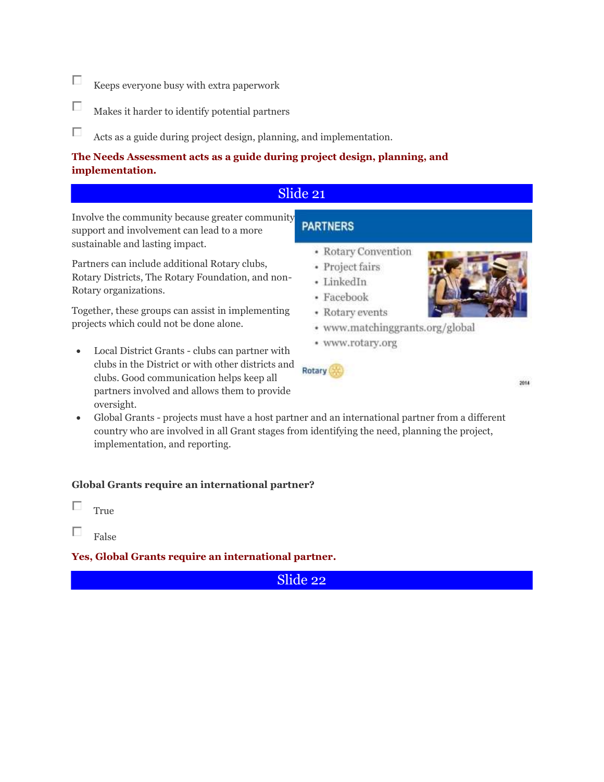- $\Box$ Keeps everyone busy with extra paperwork
- $\Box$ Makes it harder to identify potential partners
- П Acts as a guide during project design, planning, and implementation.

#### **The Needs Assessment acts as a guide during project design, planning, and implementation.**

| Slide 21                                                                                                                                                       |                                                                    |  |
|----------------------------------------------------------------------------------------------------------------------------------------------------------------|--------------------------------------------------------------------|--|
| Involve the community because greater community<br>support and involvement can lead to a more                                                                  | <b>PARTNERS</b>                                                    |  |
| sustainable and lasting impact.<br>Partners can include additional Rotary clubs,<br>Rotary Districts, The Rotary Foundation, and non-<br>Rotary organizations. | • Rotary Convention<br>• Project fairs<br>· LinkedIn<br>· Facebook |  |
| Together, these groups can assist in implementing<br>projects which could not be done alone.                                                                   | • Rotary events<br>• www.matchinggrants.org/global                 |  |
| Local District Grants - clubs can partner with<br>clubs in the District or with other districts and<br>clubs. Good communication helps keep all                | · www.rotary.org<br>Rotary                                         |  |

2014

 Global Grants - projects must have a host partner and an international partner from a different country who are involved in all Grant stages from identifying the need, planning the project, implementation, and reporting.

#### **Global Grants require an international partner?**

partners involved and allows them to provide

oversight.

П False

**Yes, Global Grants require an international partner.** 

Slide 22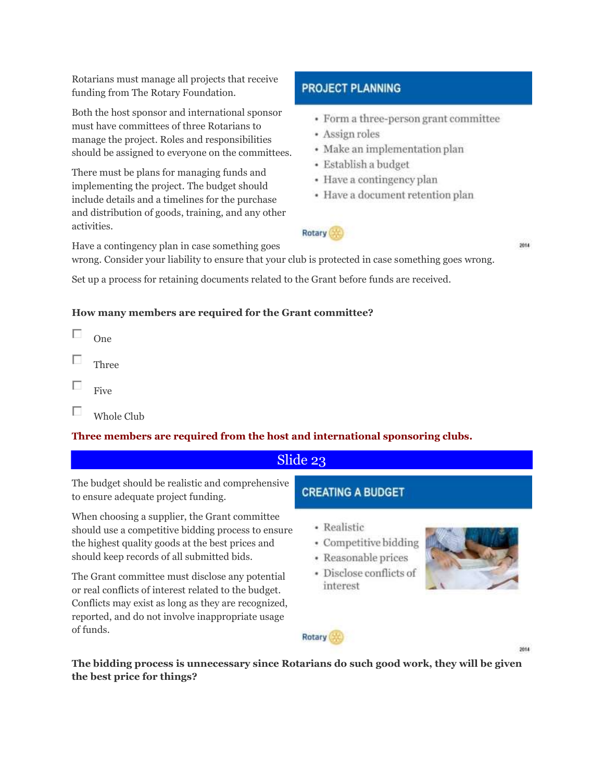Rotarians must manage all projects that receive funding from The Rotary Foundation.

Both the host sponsor and international sponsor must have committees of three Rotarians to manage the project. Roles and responsibilities should be assigned to everyone on the committees.

There must be plans for managing funds and implementing the project. The budget should include details and a timelines for the purchase and distribution of goods, training, and any other activities.

## **PROJECT PLANNING**

- Form a three-person grant committee
- Assign roles
- Make an implementation plan
- · Establish a budget
- Have a contingency plan
- Have a document retention plan

Rotary Have a contingency plan in case something goes

2014

wrong. Consider your liability to ensure that your club is protected in case something goes wrong.

Set up a process for retaining documents related to the Grant before funds are received.

#### **How many members are required for the Grant committee?**

- п One
- п Three
- п Five

of funds.

П Whole Club

#### **Three members are required from the host and international sponsoring clubs.**

#### Slide 23

The budget should be realistic and comprehensive to ensure adequate project funding.

When choosing a supplier, the Grant committee should use a competitive bidding process to ensure the highest quality goods at the best prices and should keep records of all submitted bids.

The Grant committee must disclose any potential or real conflicts of interest related to the budget. Conflicts may exist as long as they are recognized, reported, and do not involve inappropriate usage

#### **CREATING A BUDGET**

- · Realistic
- Competitive bidding
- Reasonable prices
- Disclose conflicts of interest





2014

**The bidding process is unnecessary since Rotarians do such good work, they will be given the best price for things?**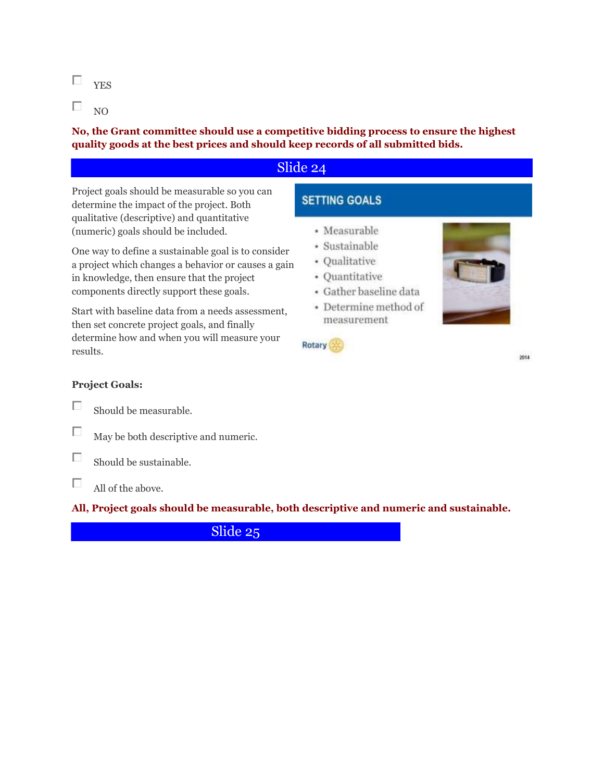

#### **No, the Grant committee should use a competitive bidding process to ensure the highest quality goods at the best prices and should keep records of all submitted bids.**

## Slide 24

Project goals should be measurable so you can determine the impact of the project. Both qualitative (descriptive) and quantitative (numeric) goals should be included.

One way to define a sustainable goal is to consider a project which changes a behavior or causes a gain in knowledge, then ensure that the project components directly support these goals.

Start with baseline data from a needs assessment, then set concrete project goals, and finally determine how and when you will measure your results.

# **SETTING GOALS**

- · Measurable
- · Sustainable
- · Qualitative
- · Quantitative
- · Gather baseline data
- Determine method of measurement





 $2014$ 

#### **Project Goals:**

- П Should be measurable.
- П May be both descriptive and numeric.



 $\Box$ All of the above.

#### **All, Project goals should be measurable, both descriptive and numeric and sustainable.**

Slide 25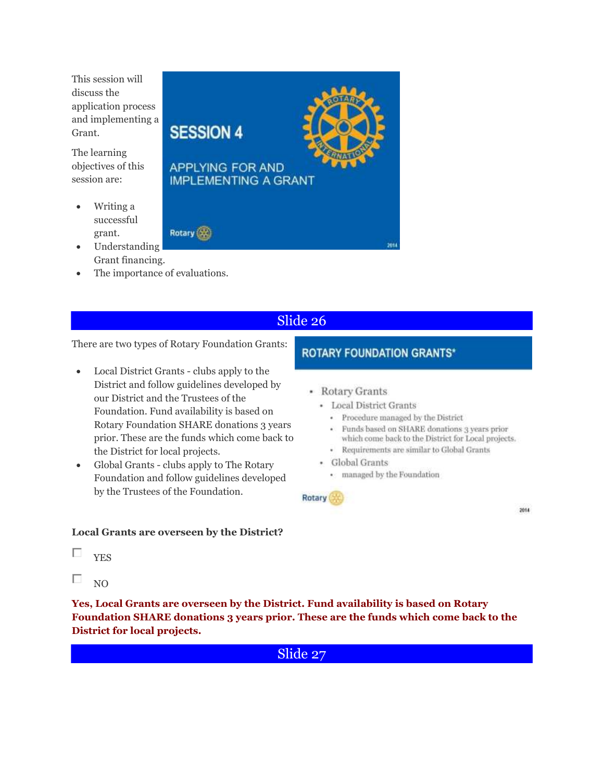This session will discuss the application process and implementing a Grant.

The learning objectives of this session are:

 Writing a successful grant.



**APPLYING FOR AND IMPLEMENTING A GRANT** 

Rotary<sup>(22)</sup>

**SESSION 4** 

- Understanding Grant financing.
- The importance of evaluations.

## Slide 26

There are two types of Rotary Foundation Grants:

- Local District Grants clubs apply to the District and follow guidelines developed by our District and the Trustees of the Foundation. Fund availability is based on Rotary Foundation SHARE donations 3 years prior. These are the funds which come back to the District for local projects.
- Global Grants clubs apply to The Rotary Foundation and follow guidelines developed by the Trustees of the Foundation.

#### **Local Grants are overseen by the District?**

П YES

П NO

**Yes, Local Grants are overseen by the District. Fund availability is based on Rotary Foundation SHARE donations 3 years prior. These are the funds which come back to the District for local projects.** 

**ROTARY FOUNDATION GRANTS\*** 

- Rotary Grants
	- Local District Grants
		- · Procedure managed by the District
		- Funds based on SHARE donations 3 years prior a C which come back to the District for Local projects.
		- Requirements are similar to Global Grants .
	- · Global Grants
		- · managed by the Foundation



2014

Slide 27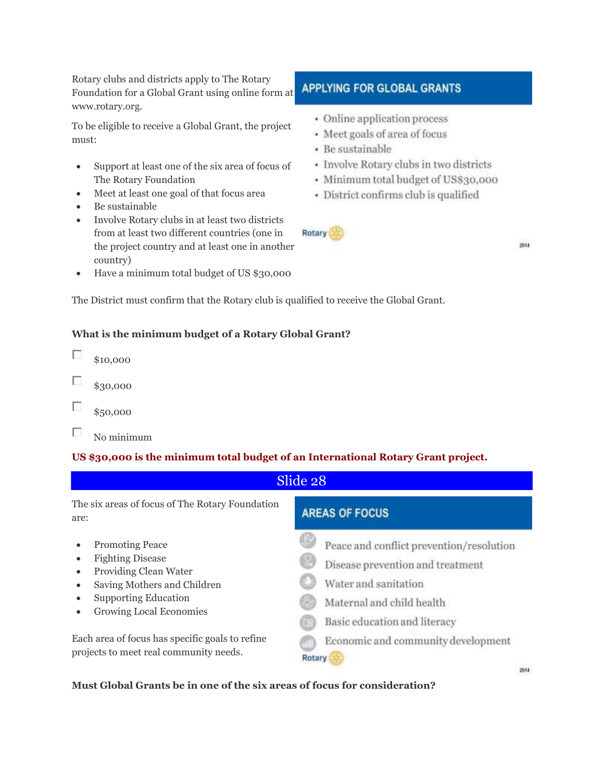Rotary clubs and districts apply to The Rotary Foundation for a Global Grant using online form at www.rotary.org.

To be eligible to receive a Global Grant, the project must:

- Support at least one of the six area of focus of The Rotary Foundation
- Meet at least one goal of that focus area
- Be sustainable
- Involve Rotary clubs in at least two districts from at least two different countries (one in the project country and at least one in another country)
- Have a minimum total budget of US \$30,000

The District must confirm that the Rotary club is qualified to receive the Global Grant.

#### **What is the minimum budget of a Rotary Global Grant?**

- П \$10,000
- П \$30,000
- П \$50,000
- П No minimum

#### **US \$30,000 is the minimum total budget of an International Rotary Grant project.**

| Slide 28                                                                                                                                                            |                                                                                                                                                                   |  |  |
|---------------------------------------------------------------------------------------------------------------------------------------------------------------------|-------------------------------------------------------------------------------------------------------------------------------------------------------------------|--|--|
| The six areas of focus of The Rotary Foundation<br>are:                                                                                                             | <b>AREAS OF FOCUS</b>                                                                                                                                             |  |  |
| <b>Promoting Peace</b><br><b>Fighting Disease</b><br>Providing Clean Water<br>Saving Mothers and Children<br><b>Supporting Education</b><br>Growing Local Economies | Peace and conflict prevention/resolution<br>Disease prevention and treatment<br>Water and sanitation<br>Maternal and child health<br>Basic education and literacy |  |  |
| Each area of focus has specific goals to refine<br>projects to meet real community needs.                                                                           | Economic and community development<br>Rotary<br>2014                                                                                                              |  |  |

#### **Must Global Grants be in one of the six areas of focus for consideration?**

## **APPLYING FOR GLOBAL GRANTS**

- Online application process
- Meet goals of area of focus
- · Be sustainable
- Involve Rotary clubs in two districts
- · Minimum total budget of US\$30,000
- District confirms club is qualified

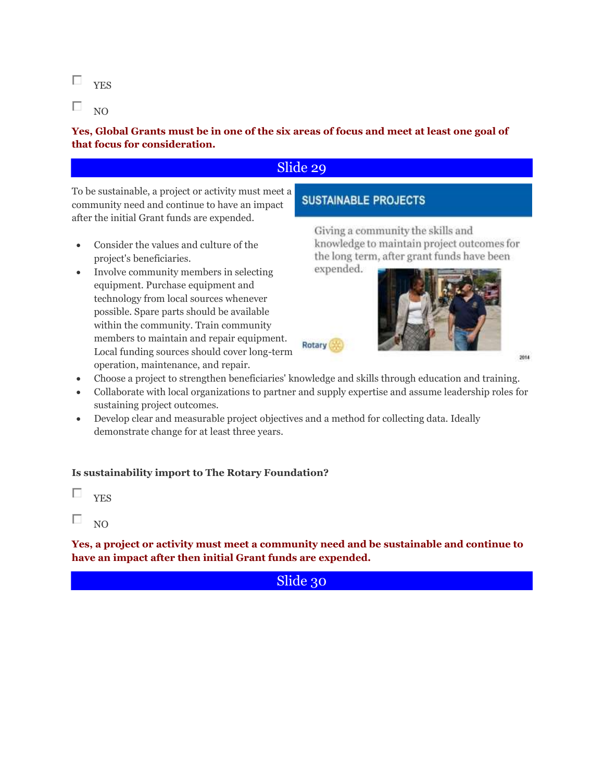

#### **Yes, Global Grants must be in one of the six areas of focus and meet at least one goal of that focus for consideration.**

## Slide 29

To be sustainable, a project or activity must meet a community need and continue to have an impact after the initial Grant funds are expended.

- Consider the values and culture of the project's beneficiaries.
- Involve community members in selecting equipment. Purchase equipment and technology from local sources whenever possible. Spare parts should be available within the community. Train community members to maintain and repair equipment. Local funding sources should cover long-term operation, maintenance, and repair.

## **SUSTAINABLE PROJECTS**

Giving a community the skills and knowledge to maintain project outcomes for the long term, after grant funds have been

expended.



3014

Choose a project to strengthen beneficiaries' knowledge and skills through education and training.

Rotary

- Collaborate with local organizations to partner and supply expertise and assume leadership roles for sustaining project outcomes.
- Develop clear and measurable project objectives and a method for collecting data. Ideally demonstrate change for at least three years.

#### **Is sustainability import to The Rotary Foundation?**

П YES

П NO

**Yes, a project or activity must meet a community need and be sustainable and continue to have an impact after then initial Grant funds are expended.** 

## Slide 30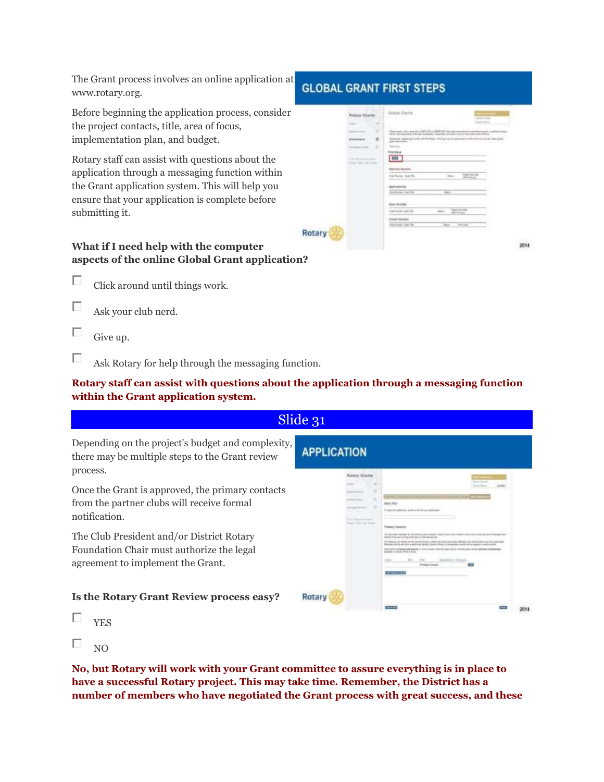The Grant process involves an online application at www.rotary.org.

Before beginning the application process, consider the project contacts, title, area of focus, implementation plan, and budget.

Rotary staff can assist with questions about the application through a messaging function within the Grant application system. This will help you ensure that your application is complete before submitting it.

#### **What if I need help with the computer aspects of the online Global Grant application?**

П Click around until things work.

П Ask your club nerd.

П Give up.

 $\Box$ Ask Rotary for help through the messaging function.

#### **Rotary staff can assist with questions about the application through a messaging function within the Grant application system.**

Rotary

| $S$ lide $31$                                                                                                                                                                                                                                              |                    |                                                                                 |                                                                                                                                                                                                                                                                                                                                                                                                                                                                                                                                                                                                                                                                            |  |
|------------------------------------------------------------------------------------------------------------------------------------------------------------------------------------------------------------------------------------------------------------|--------------------|---------------------------------------------------------------------------------|----------------------------------------------------------------------------------------------------------------------------------------------------------------------------------------------------------------------------------------------------------------------------------------------------------------------------------------------------------------------------------------------------------------------------------------------------------------------------------------------------------------------------------------------------------------------------------------------------------------------------------------------------------------------------|--|
| Depending on the project's budget and complexity,<br>there may be multiple steps to the Grant review                                                                                                                                                       | <b>APPLICATION</b> |                                                                                 |                                                                                                                                                                                                                                                                                                                                                                                                                                                                                                                                                                                                                                                                            |  |
| process.<br>Once the Grant is approved, the primary contacts<br>from the partner clubs will receive formal<br>notification.<br>The Club President and/or District Rotary<br>Foundation Chair must authorize the legal<br>agreement to implement the Grant. |                    | <b>Rotary Grants</b><br>----<br>--<br><b>CONTRACTOR</b><br>may think list links | <b>Digitt Rile</b><br>trings his advance prim a britis constabilistic<br><b>Thomas ( content exp</b><br>to be the fact of the set of the office in red in constant. Send in our case is deducted in the factor operation of the company<br>advance three and serving bring man or one-entered see-<br>THE TRANSMITTER AND RELEASED FOR A REPORTED A STATE OF A REAL ACCUMULATION AND A RELEASED FOR A RELEASED<br>because the de las as agency and count additional interest of the construction countries are as agency in countries as<br>Include this directed Post Alasmas is in the forest conserves given primary sellings plans including A<br><b>Pinters Lines</b> |  |
| Is the Rotary Grant Review process easy?<br>YES                                                                                                                                                                                                            | Rotary             |                                                                                 |                                                                                                                                                                                                                                                                                                                                                                                                                                                                                                                                                                                                                                                                            |  |
| NΟ                                                                                                                                                                                                                                                         |                    |                                                                                 |                                                                                                                                                                                                                                                                                                                                                                                                                                                                                                                                                                                                                                                                            |  |

**No, but Rotary will work with your Grant committee to assure everything is in place to have a successful Rotary project. This may take time. Remember, the District has a number of members who have negotiated the Grant process with great success, and these** 

## **GLOBAL GRANT FIRST STEPS**

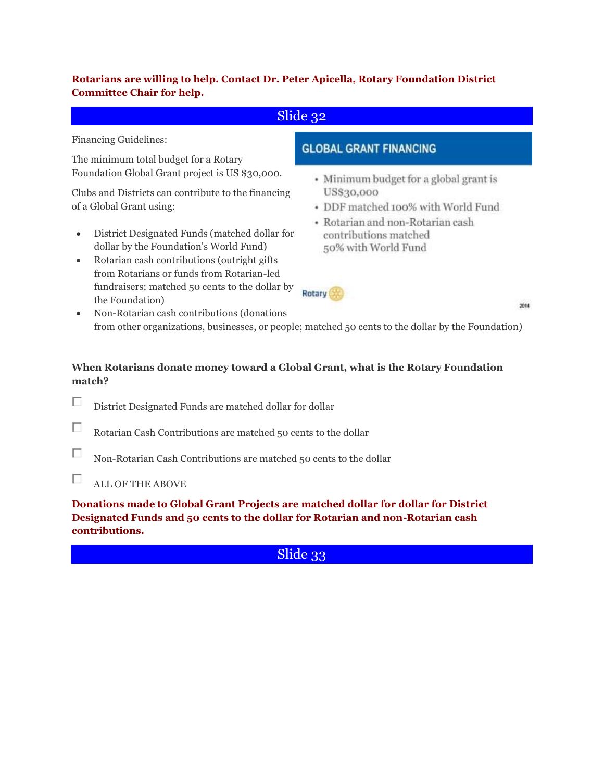#### **Rotarians are willing to help. Contact Dr. Peter Apicella, Rotary Foundation District Committee Chair for help.**

Slide 32

Financing Guidelines:

The minimum total budget for a Rotary Foundation Global Grant project is US \$30,000.

Clubs and Districts can contribute to the financing of a Global Grant using:

- District Designated Funds (matched dollar for dollar by the Foundation's World Fund)
- Rotarian cash contributions (outright gifts from Rotarians or funds from Rotarian-led fundraisers; matched 50 cents to the dollar by Rotary the Foundation)

## **GLOBAL GRANT FINANCING**

- Minimum budget for a global grant is US\$30,000
- DDF matched 100% with World Fund
- Rotarian and non-Rotarian cash contributions matched 50% with World Fund

 Non-Rotarian cash contributions (donations from other organizations, businesses, or people; matched 50 cents to the dollar by the Foundation)

#### **When Rotarians donate money toward a Global Grant, what is the Rotary Foundation match?**

- П District Designated Funds are matched dollar for dollar
- П Rotarian Cash Contributions are matched 50 cents to the dollar
- П Non-Rotarian Cash Contributions are matched 50 cents to the dollar
- П ALL OF THE ABOVE

**Donations made to Global Grant Projects are matched dollar for dollar for District Designated Funds and 50 cents to the dollar for Rotarian and non-Rotarian cash contributions.** 

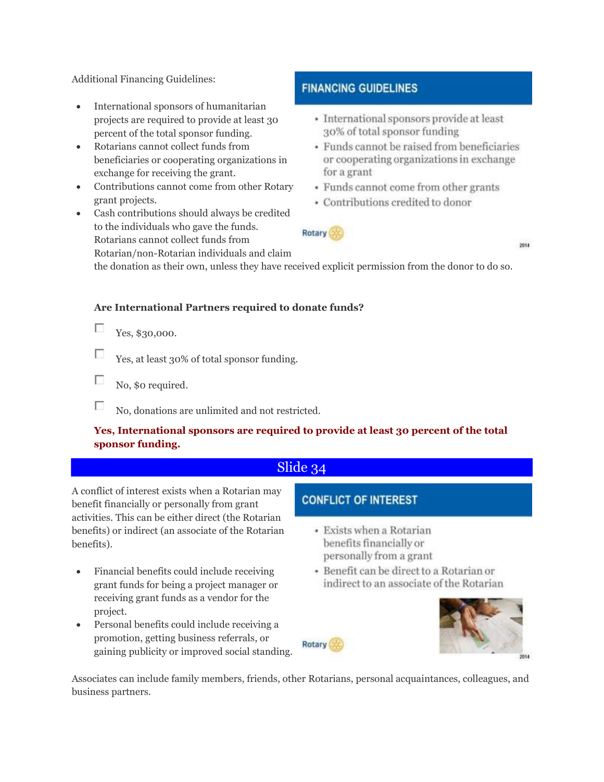Additional Financing Guidelines:

- International sponsors of humanitarian projects are required to provide at least 30 percent of the total sponsor funding.
- Rotarians cannot collect funds from beneficiaries or cooperating organizations in exchange for receiving the grant.
- Contributions cannot come from other Rotary grant projects.
- Cash contributions should always be credited to the individuals who gave the funds. Rotarians cannot collect funds from Rotarian/non-Rotarian individuals and claim

### **FINANCING GUIDELINES**

- International sponsors provide at least 30% of total sponsor funding
- · Funds cannot be raised from beneficiaries or cooperating organizations in exchange for a grant
- Funds cannot come from other grants
- Contributions credited to donor



2014

the donation as their own, unless they have received explicit permission from the donor to do so.

#### **Are International Partners required to donate funds?**

П Yes, \$30,000.

Yes, at least 30% of total sponsor funding.

- П No, \$0 required.
- П No, donations are unlimited and not restricted.

#### **Yes, International sponsors are required to provide at least 30 percent of the total sponsor funding.**

## Slide 34

A conflict of interest exists when a Rotarian may benefit financially or personally from grant activities. This can be either direct (the Rotarian benefits) or indirect (an associate of the Rotarian benefits).

- Financial benefits could include receiving grant funds for being a project manager or receiving grant funds as a vendor for the project.
- Personal benefits could include receiving a promotion, getting business referrals, or gaining publicity or improved social standing.

## **CONFLICT OF INTEREST**

- Exists when a Rotarian benefits financially or personally from a grant
- Benefit can be direct to a Rotarian or indirect to an associate of the Rotarian





Associates can include family members, friends, other Rotarians, personal acquaintances, colleagues, and business partners.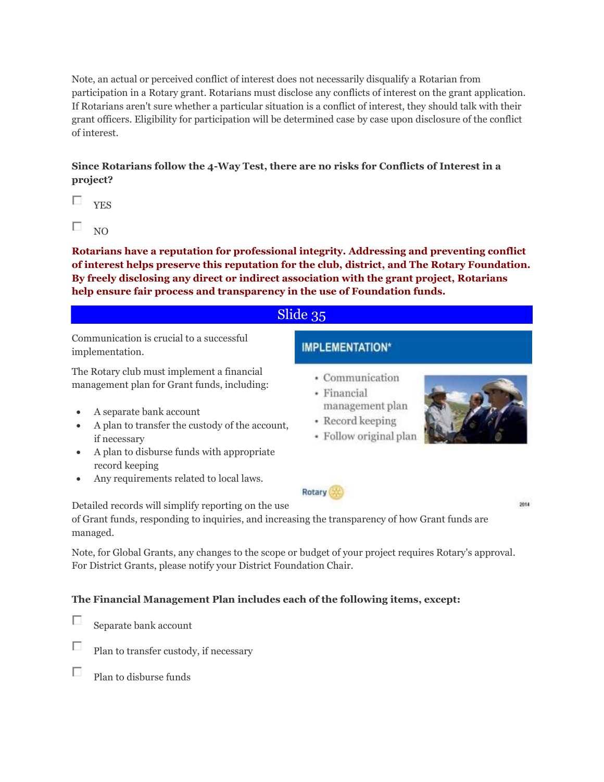Note, an actual or perceived conflict of interest does not necessarily disqualify a Rotarian from participation in a Rotary grant. Rotarians must disclose any conflicts of interest on the grant application. If Rotarians aren't sure whether a particular situation is a conflict of interest, they should talk with their grant officers. Eligibility for participation will be determined case by case upon disclosure of the conflict of interest.

#### **Since Rotarians follow the 4-Way Test, there are no risks for Conflicts of Interest in a project?**

П YES

п NO

**Rotarians have a reputation for professional integrity. Addressing and preventing conflict of interest helps preserve this reputation for the club, district, and The Rotary Foundation. By freely disclosing any direct or indirect association with the grant project, Rotarians help ensure fair process and transparency in the use of Foundation funds.** 

## Slide 35

Communication is crucial to a successful implementation.

The Rotary club must implement a financial management plan for Grant funds, including:

- A separate bank account
- A plan to transfer the custody of the account, if necessary
- A plan to disburse funds with appropriate record keeping
- Any requirements related to local laws.

## **IMPLEMENTATION\***

- Communication
- · Financial management plan
- Record keeping
- · Follow original plan

Rotary

Detailed records will simplify reporting on the use

of Grant funds, responding to inquiries, and increasing the transparency of how Grant funds are managed.

Note, for Global Grants, any changes to the scope or budget of your project requires Rotary's approval. For District Grants, please notify your District Foundation Chair.

#### **The Financial Management Plan includes each of the following items, except:**

- П Separate bank account
- П Plan to transfer custody, if necessary
- П Plan to disburse funds



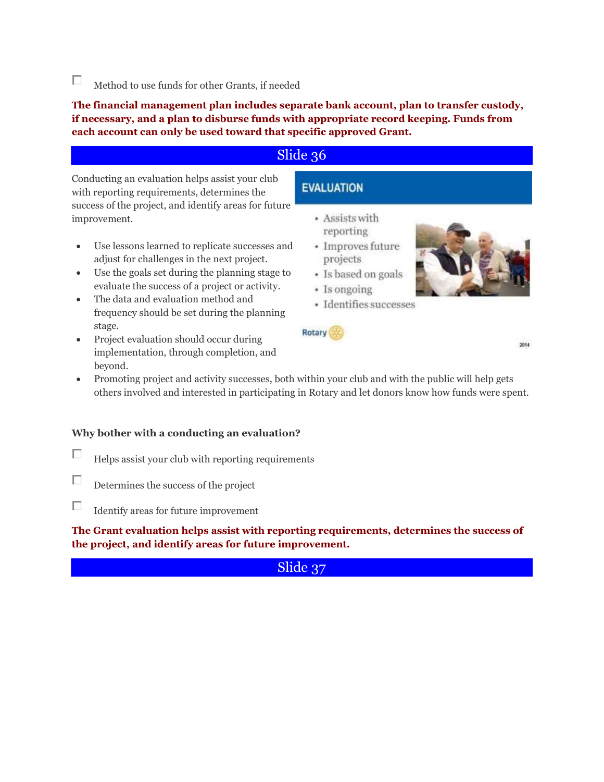#### П Method to use funds for other Grants, if needed

**The financial management plan includes separate bank account, plan to transfer custody, if necessary, and a plan to disburse funds with appropriate record keeping. Funds from each account can only be used toward that specific approved Grant.** 

#### Slide 36 Conducting an evaluation helps assist your club **EVALUATION** with reporting requirements, determines the success of the project, and identify areas for future · Assists with improvement. reporting Use lessons learned to replicate successes and • Improves future adjust for challenges in the next project. projects Use the goals set during the planning stage to • Is based on goals evaluate the success of a project or activity. · Is ongoing The data and evaluation method and · Identifies successes frequency should be set during the planning stage.

• Project evaluation should occur during implementation, through completion, and beyond.

Rotary

2014

• Promoting project and activity successes, both within your club and with the public will help gets others involved and interested in participating in Rotary and let donors know how funds were spent.

#### **Why bother with a conducting an evaluation?**

- П Helps assist your club with reporting requirements
- П Determines the success of the project
- П Identify areas for future improvement

#### **The Grant evaluation helps assist with reporting requirements, determines the success of the project, and identify areas for future improvement.**

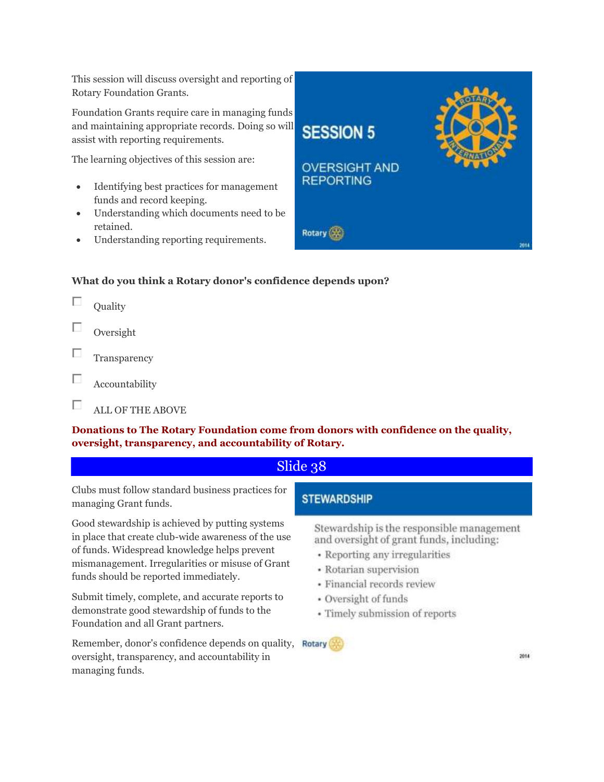This session will discuss oversight and reporting of Rotary Foundation Grants.

Foundation Grants require care in managing funds and maintaining appropriate records. Doing so will assist with reporting requirements.

The learning objectives of this session are:

- Identifying best practices for management funds and record keeping.
- Understanding which documents need to be retained.
- Understanding reporting requirements.



#### **What do you think a Rotary donor's confidence depends upon?**

- П Quality
- П Oversight
- П Transparency
- П Accountability
- п ALL OF THE ABOVE

**Donations to The Rotary Foundation come from donors with confidence on the quality, oversight, transparency, and accountability of Rotary.** 

## Slide 38

Clubs must follow standard business practices for managing Grant funds.

Good stewardship is achieved by putting systems in place that create club-wide awareness of the use of funds. Widespread knowledge helps prevent mismanagement. Irregularities or misuse of Grant funds should be reported immediately.

Submit timely, complete, and accurate reports to demonstrate good stewardship of funds to the Foundation and all Grant partners.

Remember, donor's confidence depends on quality, Rotary oversight, transparency, and accountability in managing funds.

## **STEWARDSHIP**

Stewardship is the responsible management and oversight of grant funds, including:

- Reporting any irregularities
- Rotarian supervision
- · Financial records review
- Oversight of funds
- · Timely submission of reports

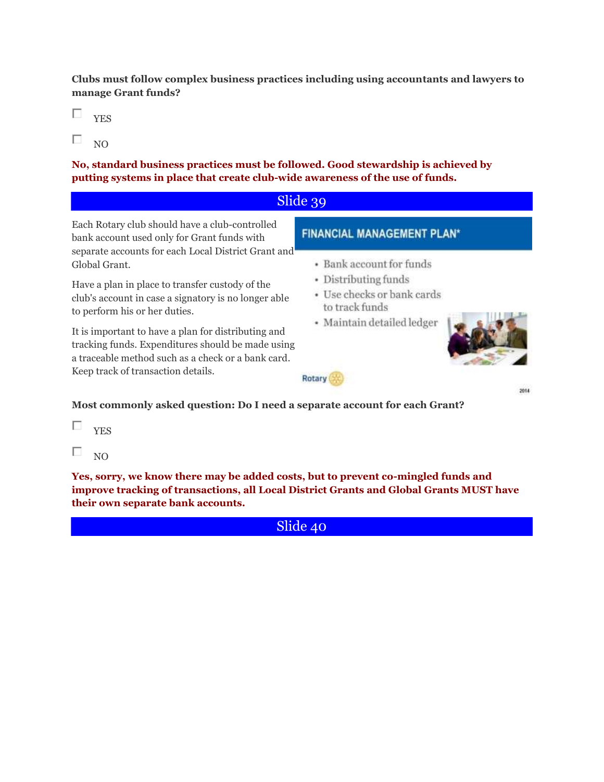**Clubs must follow complex business practices including using accountants and lawyers to manage Grant funds?** 

П YES

П NO

**No, standard business practices must be followed. Good stewardship is achieved by putting systems in place that create club-wide awareness of the use of funds.** 



**Most commonly asked question: Do I need a separate account for each Grant?** 

П. YES

П NO

**Yes, sorry, we know there may be added costs, but to prevent co-mingled funds and improve tracking of transactions, all Local District Grants and Global Grants MUST have their own separate bank accounts.** 

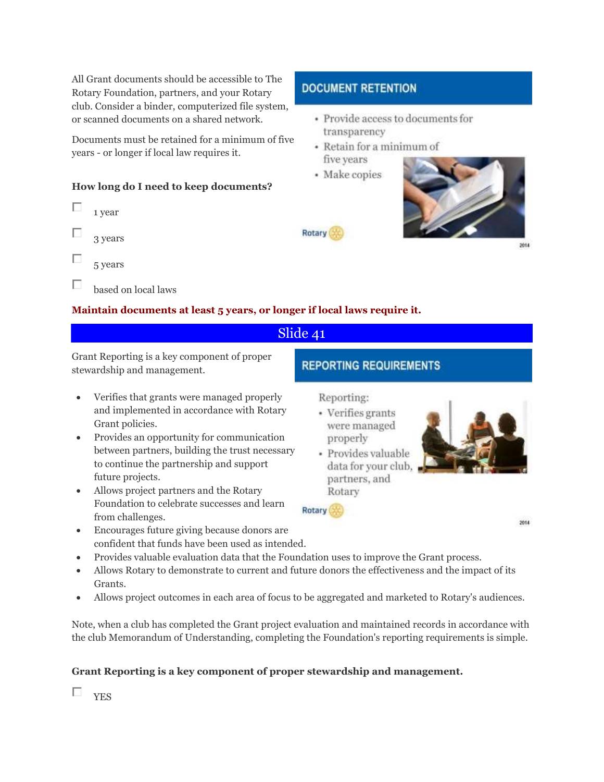All Grant documents should be accessible to The Rotary Foundation, partners, and your Rotary club. Consider a binder, computerized file system, or scanned documents on a shared network.

Documents must be retained for a minimum of five years - or longer if local law requires it.

#### **How long do I need to keep documents?**

- п 1 year Г 3 years
- 
- п 5 years
- П based on local laws

#### **Maintain documents at least 5 years, or longer if local laws require it.**

## Grant Reporting is a key component of proper stewardship and management.

- Verifies that grants were managed properly and implemented in accordance with Rotary Grant policies.
- Provides an opportunity for communication between partners, building the trust necessary to continue the partnership and support future projects.
- Allows project partners and the Rotary Foundation to celebrate successes and learn from challenges.
- Encourages future giving because donors are confident that funds have been used as intended.

#### Provides valuable evaluation data that the Foundation uses to improve the Grant process.

- Allows Rotary to demonstrate to current and future donors the effectiveness and the impact of its Grants.
- Allows project outcomes in each area of focus to be aggregated and marketed to Rotary's audiences.

**Rotary** 

Note, when a club has completed the Grant project evaluation and maintained records in accordance with the club Memorandum of Understanding, completing the Foundation's reporting requirements is simple.

#### **Grant Reporting is a key component of proper stewardship and management.**

П YES

## **DOCUMENT RETENTION**

- Provide access to documents for transparency
- Retain for a minimum of five years
- · Make copies





Slide 41

2014

## **REPORTING REQUIREMENTS**

Reporting:

- · Verifies grants were managed properly
- · Provides valuable data for your club, partners, and Rotary

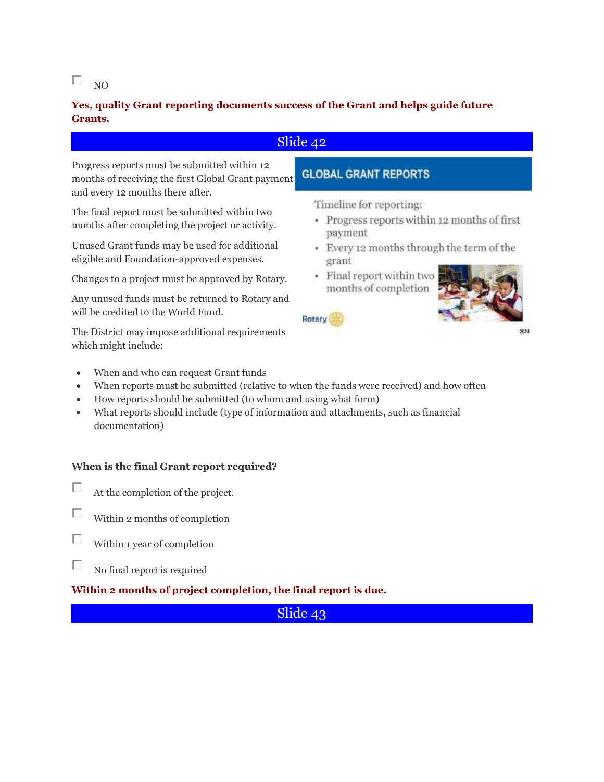#### $\Box$ NO

#### **Yes, quality Grant reporting documents success of the Grant and helps guide future Grants.**

## Slide 42

Progress reports must be submitted within 12 months of receiving the first Global Grant payment and every 12 months there after.

The final report must be submitted within two months after completing the project or activity.

Unused Grant funds may be used for additional eligible and Foundation-approved expenses.

Changes to a project must be approved by Rotary.

Any unused funds must be returned to Rotary and will be credited to the World Fund.

The District may impose additional requirements which might include:

## **GLOBAL GRANT REPORTS**

Timeline for reporting:

- Progress reports within 12 months of first payment
- Every 12 months through the term of the grant
- Final report within two months of completion



Rotary

- When and who can request Grant funds
- When reports must be submitted (relative to when the funds were received) and how often
- How reports should be submitted (to whom and using what form)
- What reports should include (type of information and attachments, such as financial documentation)

#### **When is the final Grant report required?**

- П. At the completion of the project.
- П Within 2 months of completion
- П. Within 1 year of completion
- П No final report is required

#### **Within 2 months of project completion, the final report is due.**

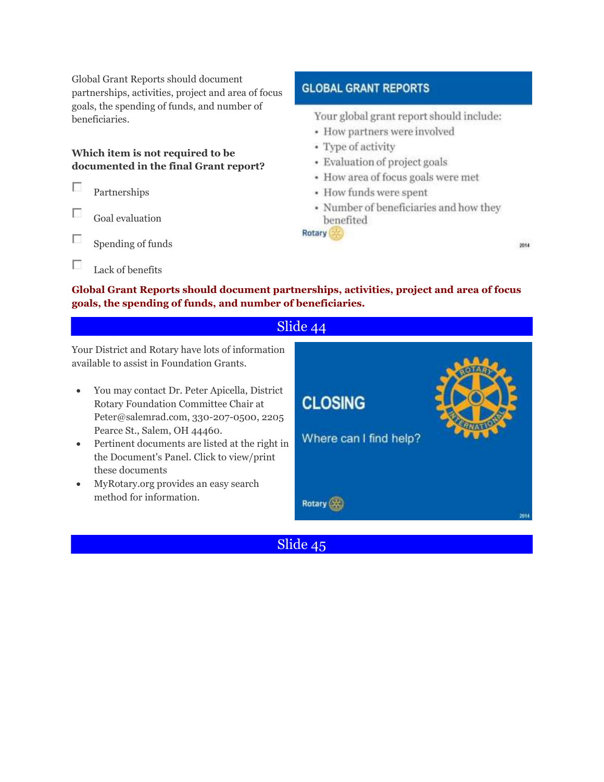Global Grant Reports should document partnerships, activities, project and area of focus goals, the spending of funds, and number of beneficiaries.

#### **Which item is not required to be documented in the final Grant report?**

 $\Box$ Partnerships

- П Goal evaluation
- П Spending of funds

#### П Lack of benefits

method for information.

### **GLOBAL GRANT REPORTS**

Your global grant report should include:

- How partners were involved
- Type of activity
- Evaluation of project goals
- How area of focus goals were met
- How funds were spent
- Number of beneficiaries and how they benefited

Rotary<sup>(2)</sup>

2014

#### **Global Grant Reports should document partnerships, activities, project and area of focus goals, the spending of funds, and number of beneficiaries.**

Slide 44 Your District and Rotary have lots of information available to assist in Foundation Grants. You may contact Dr. Peter Apicella, District **CLOSING** Rotary Foundation Committee Chair at Peter@salemrad.com, 330-207-0500, 2205 Pearce St., Salem, OH 44460. Where can I find help? Pertinent documents are listed at the right in the Document's Panel. Click to view/print these documents MyRotary.org provides an easy search

Slide 45

Rotary<sup>(22)</sup>